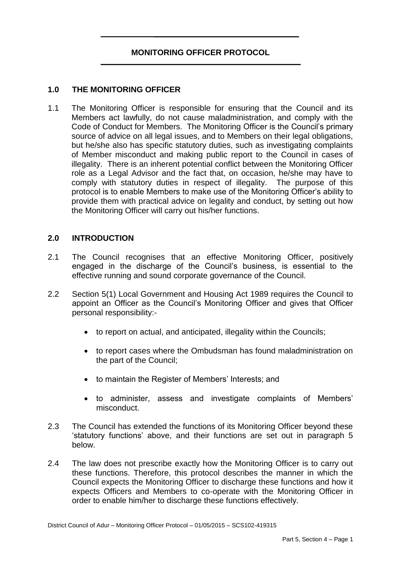# **MONITORING OFFICER PROTOCOL**

## **1.0 THE MONITORING OFFICER**

1.1 The Monitoring Officer is responsible for ensuring that the Council and its Members act lawfully, do not cause maladministration, and comply with the Code of Conduct for Members. The Monitoring Officer is the Council's primary source of advice on all legal issues, and to Members on their legal obligations, but he/she also has specific statutory duties, such as investigating complaints of Member misconduct and making public report to the Council in cases of illegality. There is an inherent potential conflict between the Monitoring Officer role as a Legal Advisor and the fact that, on occasion, he/she may have to comply with statutory duties in respect of illegality. The purpose of this protocol is to enable Members to make use of the Monitoring Officer's ability to provide them with practical advice on legality and conduct, by setting out how the Monitoring Officer will carry out his/her functions.

## **2.0 INTRODUCTION**

- 2.1 The Council recognises that an effective Monitoring Officer, positively engaged in the discharge of the Council's business, is essential to the effective running and sound corporate governance of the Council.
- 2.2 Section 5(1) Local Government and Housing Act 1989 requires the Council to appoint an Officer as the Council's Monitoring Officer and gives that Officer personal responsibility:
	- to report on actual, and anticipated, illegality within the Councils;
	- to report cases where the Ombudsman has found maladministration on the part of the Council;
	- to maintain the Register of Members' Interests; and
	- to administer, assess and investigate complaints of Members' misconduct.
- 2.3 The Council has extended the functions of its Monitoring Officer beyond these 'statutory functions' above, and their functions are set out in paragraph 5 below.
- 2.4 The law does not prescribe exactly how the Monitoring Officer is to carry out these functions. Therefore, this protocol describes the manner in which the Council expects the Monitoring Officer to discharge these functions and how it expects Officers and Members to co-operate with the Monitoring Officer in order to enable him/her to discharge these functions effectively.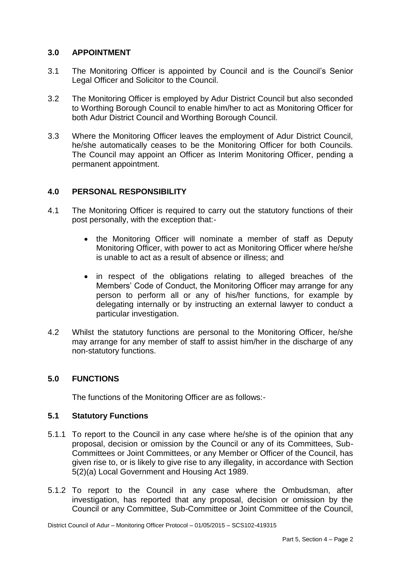# **3.0 APPOINTMENT**

- 3.1 The Monitoring Officer is appointed by Council and is the Council's Senior Legal Officer and Solicitor to the Council.
- 3.2 The Monitoring Officer is employed by Adur District Council but also seconded to Worthing Borough Council to enable him/her to act as Monitoring Officer for both Adur District Council and Worthing Borough Council.
- 3.3 Where the Monitoring Officer leaves the employment of Adur District Council, he/she automatically ceases to be the Monitoring Officer for both Councils. The Council may appoint an Officer as Interim Monitoring Officer, pending a permanent appointment.

# **4.0 PERSONAL RESPONSIBILITY**

- 4.1 The Monitoring Officer is required to carry out the statutory functions of their post personally, with the exception that:
	- the Monitoring Officer will nominate a member of staff as Deputy Monitoring Officer, with power to act as Monitoring Officer where he/she is unable to act as a result of absence or illness; and
	- in respect of the obligations relating to alleged breaches of the Members' Code of Conduct, the Monitoring Officer may arrange for any person to perform all or any of his/her functions, for example by delegating internally or by instructing an external lawyer to conduct a particular investigation.
- 4.2 Whilst the statutory functions are personal to the Monitoring Officer, he/she may arrange for any member of staff to assist him/her in the discharge of any non-statutory functions.

## **5.0 FUNCTIONS**

The functions of the Monitoring Officer are as follows:-

## **5.1 Statutory Functions**

- 5.1.1 To report to the Council in any case where he/she is of the opinion that any proposal, decision or omission by the Council or any of its Committees, Sub-Committees or Joint Committees, or any Member or Officer of the Council, has given rise to, or is likely to give rise to any illegality, in accordance with Section 5(2)(a) Local Government and Housing Act 1989.
- 5.1.2 To report to the Council in any case where the Ombudsman, after investigation, has reported that any proposal, decision or omission by the Council or any Committee, Sub-Committee or Joint Committee of the Council,

District Council of Adur – Monitoring Officer Protocol – 01/05/2015 – SCS102-419315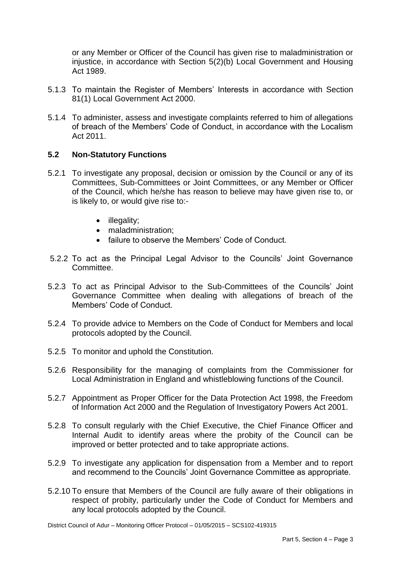or any Member or Officer of the Council has given rise to maladministration or injustice, in accordance with Section 5(2)(b) Local Government and Housing Act 1989.

- 5.1.3 To maintain the Register of Members' Interests in accordance with Section 81(1) Local Government Act 2000.
- 5.1.4 To administer, assess and investigate complaints referred to him of allegations of breach of the Members' Code of Conduct, in accordance with the Localism Act 2011.

## **5.2 Non-Statutory Functions**

- 5.2.1 To investigate any proposal, decision or omission by the Council or any of its Committees, Sub-Committees or Joint Committees, or any Member or Officer of the Council, which he/she has reason to believe may have given rise to, or is likely to, or would give rise to:-
	- illegality;
	- maladministration:
	- failure to observe the Members' Code of Conduct.
- 5.2.2 To act as the Principal Legal Advisor to the Councils' Joint Governance Committee.
- 5.2.3 To act as Principal Advisor to the Sub-Committees of the Councils' Joint Governance Committee when dealing with allegations of breach of the Members' Code of Conduct.
- 5.2.4 To provide advice to Members on the Code of Conduct for Members and local protocols adopted by the Council.
- 5.2.5 To monitor and uphold the Constitution.
- 5.2.6 Responsibility for the managing of complaints from the Commissioner for Local Administration in England and whistleblowing functions of the Council.
- 5.2.7 Appointment as Proper Officer for the Data Protection Act 1998, the Freedom of Information Act 2000 and the Regulation of Investigatory Powers Act 2001.
- 5.2.8 To consult regularly with the Chief Executive, the Chief Finance Officer and Internal Audit to identify areas where the probity of the Council can be improved or better protected and to take appropriate actions.
- 5.2.9 To investigate any application for dispensation from a Member and to report and recommend to the Councils' Joint Governance Committee as appropriate.
- 5.2.10 To ensure that Members of the Council are fully aware of their obligations in respect of probity, particularly under the Code of Conduct for Members and any local protocols adopted by the Council.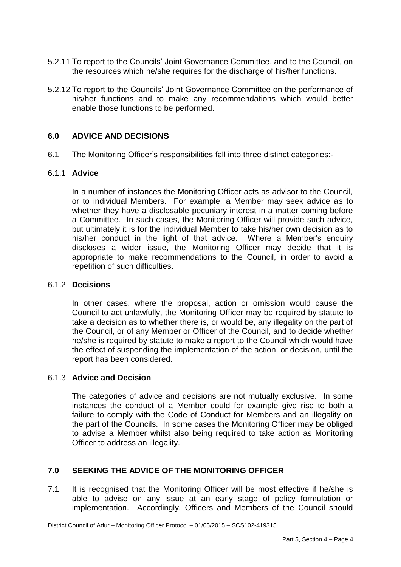- 5.2.11 To report to the Councils' Joint Governance Committee, and to the Council, on the resources which he/she requires for the discharge of his/her functions.
- 5.2.12 To report to the Councils' Joint Governance Committee on the performance of his/her functions and to make any recommendations which would better enable those functions to be performed.

# **6.0 ADVICE AND DECISIONS**

6.1 The Monitoring Officer's responsibilities fall into three distinct categories:-

#### 6.1.1 **Advice**

In a number of instances the Monitoring Officer acts as advisor to the Council, or to individual Members. For example, a Member may seek advice as to whether they have a disclosable pecuniary interest in a matter coming before a Committee. In such cases, the Monitoring Officer will provide such advice, but ultimately it is for the individual Member to take his/her own decision as to his/her conduct in the light of that advice. Where a Member's enquiry discloses a wider issue, the Monitoring Officer may decide that it is appropriate to make recommendations to the Council, in order to avoid a repetition of such difficulties.

## 6.1.2 **Decisions**

In other cases, where the proposal, action or omission would cause the Council to act unlawfully, the Monitoring Officer may be required by statute to take a decision as to whether there is, or would be, any illegality on the part of the Council, or of any Member or Officer of the Council, and to decide whether he/she is required by statute to make a report to the Council which would have the effect of suspending the implementation of the action, or decision, until the report has been considered.

#### 6.1.3 **Advice and Decision**

The categories of advice and decisions are not mutually exclusive. In some instances the conduct of a Member could for example give rise to both a failure to comply with the Code of Conduct for Members and an illegality on the part of the Councils. In some cases the Monitoring Officer may be obliged to advise a Member whilst also being required to take action as Monitoring Officer to address an illegality.

# **7.0 SEEKING THE ADVICE OF THE MONITORING OFFICER**

7.1 It is recognised that the Monitoring Officer will be most effective if he/she is able to advise on any issue at an early stage of policy formulation or implementation. Accordingly, Officers and Members of the Council should

District Council of Adur – Monitoring Officer Protocol – 01/05/2015 – SCS102-419315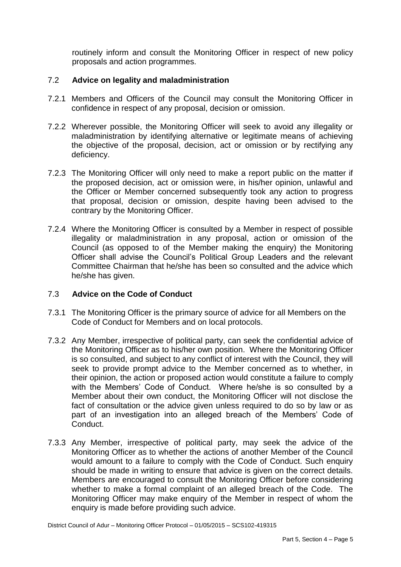routinely inform and consult the Monitoring Officer in respect of new policy proposals and action programmes.

# 7.2 **Advice on legality and maladministration**

- 7.2.1 Members and Officers of the Council may consult the Monitoring Officer in confidence in respect of any proposal, decision or omission.
- 7.2.2 Wherever possible, the Monitoring Officer will seek to avoid any illegality or maladministration by identifying alternative or legitimate means of achieving the objective of the proposal, decision, act or omission or by rectifying any deficiency.
- 7.2.3 The Monitoring Officer will only need to make a report public on the matter if the proposed decision, act or omission were, in his/her opinion, unlawful and the Officer or Member concerned subsequently took any action to progress that proposal, decision or omission, despite having been advised to the contrary by the Monitoring Officer.
- 7.2.4 Where the Monitoring Officer is consulted by a Member in respect of possible illegality or maladministration in any proposal, action or omission of the Council (as opposed to of the Member making the enquiry) the Monitoring Officer shall advise the Council's Political Group Leaders and the relevant Committee Chairman that he/she has been so consulted and the advice which he/she has given.

## 7.3 **Advice on the Code of Conduct**

- 7.3.1 The Monitoring Officer is the primary source of advice for all Members on the Code of Conduct for Members and on local protocols.
- 7.3.2 Any Member, irrespective of political party, can seek the confidential advice of the Monitoring Officer as to his/her own position. Where the Monitoring Officer is so consulted, and subject to any conflict of interest with the Council, they will seek to provide prompt advice to the Member concerned as to whether, in their opinion, the action or proposed action would constitute a failure to comply with the Members' Code of Conduct. Where he/she is so consulted by a Member about their own conduct, the Monitoring Officer will not disclose the fact of consultation or the advice given unless required to do so by law or as part of an investigation into an alleged breach of the Members' Code of Conduct.
- 7.3.3 Any Member, irrespective of political party, may seek the advice of the Monitoring Officer as to whether the actions of another Member of the Council would amount to a failure to comply with the Code of Conduct. Such enquiry should be made in writing to ensure that advice is given on the correct details. Members are encouraged to consult the Monitoring Officer before considering whether to make a formal complaint of an alleged breach of the Code. The Monitoring Officer may make enquiry of the Member in respect of whom the enquiry is made before providing such advice.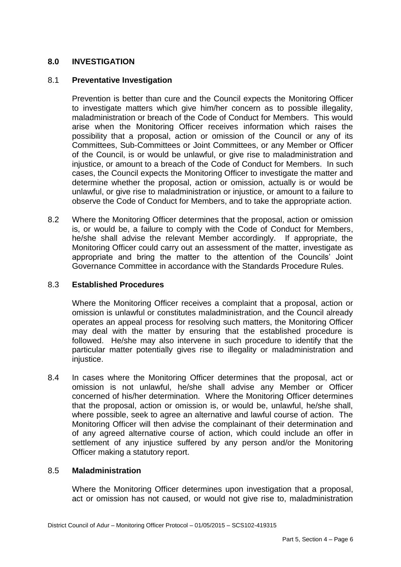# **8.0 INVESTIGATION**

#### 8.1 **Preventative Investigation**

Prevention is better than cure and the Council expects the Monitoring Officer to investigate matters which give him/her concern as to possible illegality, maladministration or breach of the Code of Conduct for Members. This would arise when the Monitoring Officer receives information which raises the possibility that a proposal, action or omission of the Council or any of its Committees, Sub-Committees or Joint Committees, or any Member or Officer of the Council, is or would be unlawful, or give rise to maladministration and injustice, or amount to a breach of the Code of Conduct for Members. In such cases, the Council expects the Monitoring Officer to investigate the matter and determine whether the proposal, action or omission, actually is or would be unlawful, or give rise to maladministration or injustice, or amount to a failure to observe the Code of Conduct for Members, and to take the appropriate action.

8.2 Where the Monitoring Officer determines that the proposal, action or omission is, or would be, a failure to comply with the Code of Conduct for Members, he/she shall advise the relevant Member accordingly. If appropriate, the Monitoring Officer could carry out an assessment of the matter, investigate as appropriate and bring the matter to the attention of the Councils' Joint Governance Committee in accordance with the Standards Procedure Rules.

#### 8.3 **Established Procedures**

Where the Monitoring Officer receives a complaint that a proposal, action or omission is unlawful or constitutes maladministration, and the Council already operates an appeal process for resolving such matters, the Monitoring Officer may deal with the matter by ensuring that the established procedure is followed. He/she may also intervene in such procedure to identify that the particular matter potentially gives rise to illegality or maladministration and injustice.

8.4 In cases where the Monitoring Officer determines that the proposal, act or omission is not unlawful, he/she shall advise any Member or Officer concerned of his/her determination. Where the Monitoring Officer determines that the proposal, action or omission is, or would be, unlawful, he/she shall, where possible, seek to agree an alternative and lawful course of action. The Monitoring Officer will then advise the complainant of their determination and of any agreed alternative course of action, which could include an offer in settlement of any injustice suffered by any person and/or the Monitoring Officer making a statutory report.

#### 8.5 **Maladministration**

Where the Monitoring Officer determines upon investigation that a proposal, act or omission has not caused, or would not give rise to, maladministration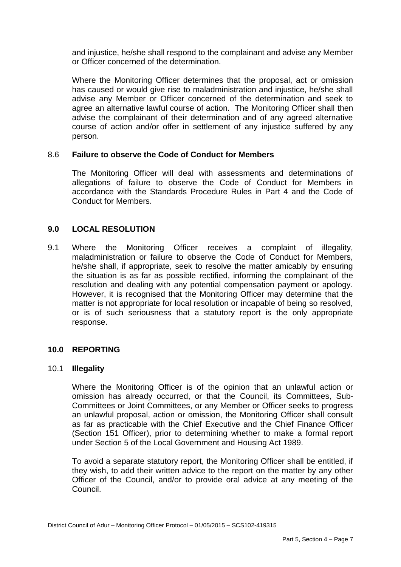and injustice, he/she shall respond to the complainant and advise any Member or Officer concerned of the determination.

Where the Monitoring Officer determines that the proposal, act or omission has caused or would give rise to maladministration and injustice, he/she shall advise any Member or Officer concerned of the determination and seek to agree an alternative lawful course of action. The Monitoring Officer shall then advise the complainant of their determination and of any agreed alternative course of action and/or offer in settlement of any injustice suffered by any person.

#### 8.6 **Failure to observe the Code of Conduct for Members**

The Monitoring Officer will deal with assessments and determinations of allegations of failure to observe the Code of Conduct for Members in accordance with the Standards Procedure Rules in Part 4 and the Code of Conduct for Members.

## **9.0 LOCAL RESOLUTION**

9.1 Where the Monitoring Officer receives a complaint of illegality, maladministration or failure to observe the Code of Conduct for Members, he/she shall, if appropriate, seek to resolve the matter amicably by ensuring the situation is as far as possible rectified, informing the complainant of the resolution and dealing with any potential compensation payment or apology. However, it is recognised that the Monitoring Officer may determine that the matter is not appropriate for local resolution or incapable of being so resolved, or is of such seriousness that a statutory report is the only appropriate response.

#### **10.0 REPORTING**

#### 10.1 **Illegality**

Where the Monitoring Officer is of the opinion that an unlawful action or omission has already occurred, or that the Council, its Committees, Sub-Committees or Joint Committees, or any Member or Officer seeks to progress an unlawful proposal, action or omission, the Monitoring Officer shall consult as far as practicable with the Chief Executive and the Chief Finance Officer (Section 151 Officer), prior to determining whether to make a formal report under Section 5 of the Local Government and Housing Act 1989.

To avoid a separate statutory report, the Monitoring Officer shall be entitled, if they wish, to add their written advice to the report on the matter by any other Officer of the Council, and/or to provide oral advice at any meeting of the Council.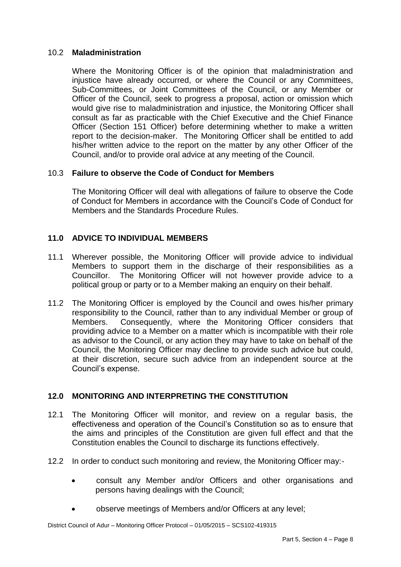## 10.2 **Maladministration**

Where the Monitoring Officer is of the opinion that maladministration and injustice have already occurred, or where the Council or any Committees, Sub-Committees, or Joint Committees of the Council, or any Member or Officer of the Council, seek to progress a proposal, action or omission which would give rise to maladministration and injustice, the Monitoring Officer shall consult as far as practicable with the Chief Executive and the Chief Finance Officer (Section 151 Officer) before determining whether to make a written report to the decision-maker. The Monitoring Officer shall be entitled to add his/her written advice to the report on the matter by any other Officer of the Council, and/or to provide oral advice at any meeting of the Council.

# 10.3 **Failure to observe the Code of Conduct for Members**

The Monitoring Officer will deal with allegations of failure to observe the Code of Conduct for Members in accordance with the Council's Code of Conduct for Members and the Standards Procedure Rules.

# **11.0 ADVICE TO INDIVIDUAL MEMBERS**

- 11.1 Wherever possible, the Monitoring Officer will provide advice to individual Members to support them in the discharge of their responsibilities as a Councillor. The Monitoring Officer will not however provide advice to a political group or party or to a Member making an enquiry on their behalf.
- 11.2 The Monitoring Officer is employed by the Council and owes his/her primary responsibility to the Council, rather than to any individual Member or group of Members. Consequently, where the Monitoring Officer considers that providing advice to a Member on a matter which is incompatible with their role as advisor to the Council, or any action they may have to take on behalf of the Council, the Monitoring Officer may decline to provide such advice but could, at their discretion, secure such advice from an independent source at the Council's expense.

# **12.0 MONITORING AND INTERPRETING THE CONSTITUTION**

- 12.1 The Monitoring Officer will monitor, and review on a regular basis, the effectiveness and operation of the Council's Constitution so as to ensure that the aims and principles of the Constitution are given full effect and that the Constitution enables the Council to discharge its functions effectively.
- 12.2 In order to conduct such monitoring and review, the Monitoring Officer may:
	- consult any Member and/or Officers and other organisations and persons having dealings with the Council;
	- observe meetings of Members and/or Officers at any level;

District Council of Adur – Monitoring Officer Protocol – 01/05/2015 – SCS102-419315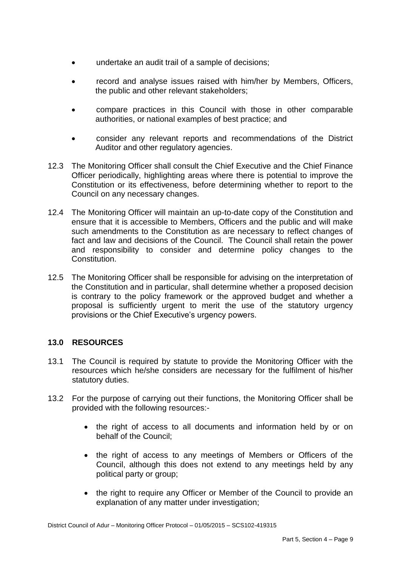- undertake an audit trail of a sample of decisions;
- record and analyse issues raised with him/her by Members, Officers, the public and other relevant stakeholders;
- compare practices in this Council with those in other comparable authorities, or national examples of best practice; and
- consider any relevant reports and recommendations of the District Auditor and other regulatory agencies.
- 12.3 The Monitoring Officer shall consult the Chief Executive and the Chief Finance Officer periodically, highlighting areas where there is potential to improve the Constitution or its effectiveness, before determining whether to report to the Council on any necessary changes.
- 12.4 The Monitoring Officer will maintain an up-to-date copy of the Constitution and ensure that it is accessible to Members, Officers and the public and will make such amendments to the Constitution as are necessary to reflect changes of fact and law and decisions of the Council. The Council shall retain the power and responsibility to consider and determine policy changes to the Constitution.
- 12.5 The Monitoring Officer shall be responsible for advising on the interpretation of the Constitution and in particular, shall determine whether a proposed decision is contrary to the policy framework or the approved budget and whether a proposal is sufficiently urgent to merit the use of the statutory urgency provisions or the Chief Executive's urgency powers.

## **13.0 RESOURCES**

- 13.1 The Council is required by statute to provide the Monitoring Officer with the resources which he/she considers are necessary for the fulfilment of his/her statutory duties.
- 13.2 For the purpose of carrying out their functions, the Monitoring Officer shall be provided with the following resources:
	- the right of access to all documents and information held by or on behalf of the Council;
	- the right of access to any meetings of Members or Officers of the Council, although this does not extend to any meetings held by any political party or group;
	- the right to require any Officer or Member of the Council to provide an explanation of any matter under investigation;